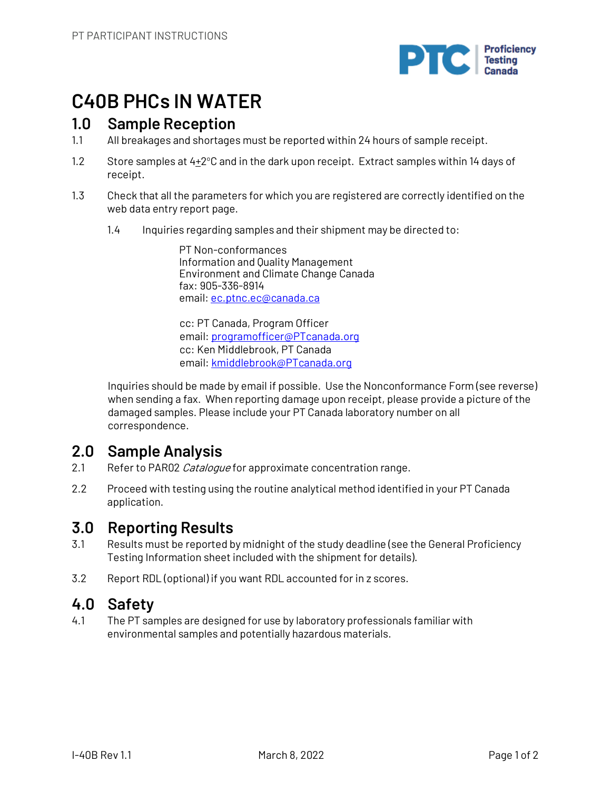

## **C40B PHCs IN WATER**

## **1.0 Sample Reception**

- 1.1 All breakages and shortages must be reported within 24 hours of sample receipt.
- 1.2 Store samples at  $4\pm2^{\circ}$ C and in the dark upon receipt. Extract samples within 14 days of receipt.
- 1.3 Check that all the parameters for which you are registered are correctly identified on the web data entry report page.
	- 1.4 Inquiries regarding samples and their shipment may be directed to:

PT Non-conformances Information and Quality Management Environment and Climate Change Canada fax: 905-336-8914 email: ec.ptnc.ec@canada.ca

cc: PT Canada, Program Officer email: programofficer@PTcanada.org cc: Ken Middlebrook, PT Canada email: kmiddlebrook@PTcanada.org

Inquiries should be made by email if possible. Use the Nonconformance Form (see reverse) when sending a fax. When reporting damage upon receipt, please provide a picture of the damaged samples. Please include your PT Canada laboratory number on all correspondence.

## **2.0 Sample Analysis**

- 2.1 Refer to PAR02 Catalogue for approximate concentration range.
- 2.2 Proceed with testing using the routine analytical method identified in your PT Canada application.

## **3.0 Reporting Results**

- 3.1 Results must be reported by midnight of the study deadline (see the General Proficiency Testing Information sheet included with the shipment for details).
- 3.2 Report RDL (optional) if you want RDL accounted for in z scores.

## **4.0 Safety**

4.1 The PT samples are designed for use by laboratory professionals familiar with environmental samples and potentially hazardous materials.